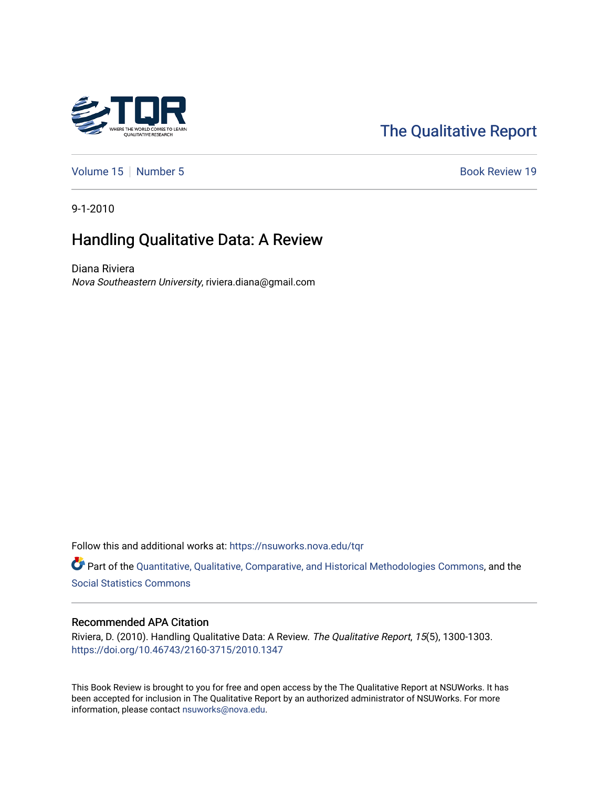

# [The Qualitative Report](https://nsuworks.nova.edu/tqr)

[Volume 15](https://nsuworks.nova.edu/tqr/vol15) [Number 5](https://nsuworks.nova.edu/tqr/vol15/iss5) Book Review 19

9-1-2010

# Handling Qualitative Data: A Review

Diana Riviera Nova Southeastern University, riviera.diana@gmail.com

Follow this and additional works at: [https://nsuworks.nova.edu/tqr](https://nsuworks.nova.edu/tqr?utm_source=nsuworks.nova.edu%2Ftqr%2Fvol15%2Fiss5%2F19&utm_medium=PDF&utm_campaign=PDFCoverPages) 

Part of the [Quantitative, Qualitative, Comparative, and Historical Methodologies Commons,](http://network.bepress.com/hgg/discipline/423?utm_source=nsuworks.nova.edu%2Ftqr%2Fvol15%2Fiss5%2F19&utm_medium=PDF&utm_campaign=PDFCoverPages) and the [Social Statistics Commons](http://network.bepress.com/hgg/discipline/1275?utm_source=nsuworks.nova.edu%2Ftqr%2Fvol15%2Fiss5%2F19&utm_medium=PDF&utm_campaign=PDFCoverPages) 

#### Recommended APA Citation

Riviera, D. (2010). Handling Qualitative Data: A Review. The Qualitative Report, 15(5), 1300-1303. <https://doi.org/10.46743/2160-3715/2010.1347>

This Book Review is brought to you for free and open access by the The Qualitative Report at NSUWorks. It has been accepted for inclusion in The Qualitative Report by an authorized administrator of NSUWorks. For more information, please contact [nsuworks@nova.edu.](mailto:nsuworks@nova.edu)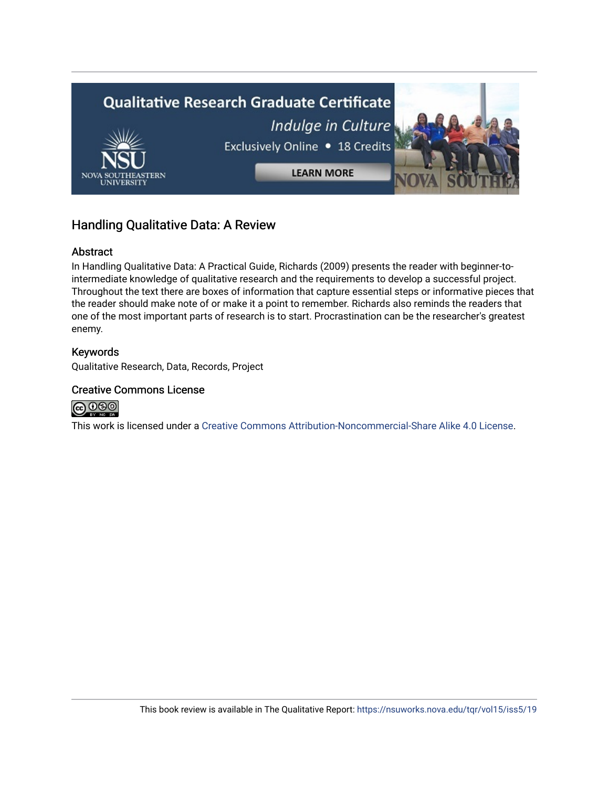

# Handling Qualitative Data: A Review

## Abstract

In Handling Qualitative Data: A Practical Guide, Richards (2009) presents the reader with beginner-tointermediate knowledge of qualitative research and the requirements to develop a successful project. Throughout the text there are boxes of information that capture essential steps or informative pieces that the reader should make note of or make it a point to remember. Richards also reminds the readers that one of the most important parts of research is to start. Procrastination can be the researcher's greatest enemy.

## Keywords

Qualitative Research, Data, Records, Project

### Creative Commons License



This work is licensed under a [Creative Commons Attribution-Noncommercial-Share Alike 4.0 License](https://creativecommons.org/licenses/by-nc-sa/4.0/).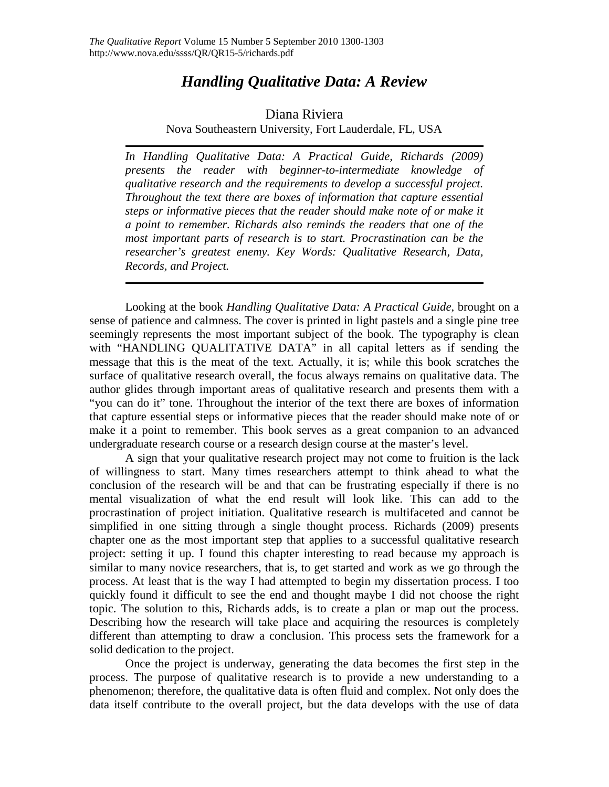# *Handling Qualitative Data: A Review*

## Diana Riviera

Nova Southeastern University, Fort Lauderdale, FL, USA

*In Handling Qualitative Data: A Practical Guide, Richards (2009) presents the reader with beginner-to-intermediate knowledge of qualitative research and the requirements to develop a successful project. Throughout the text there are boxes of information that capture essential steps or informative pieces that the reader should make note of or make it a point to remember. Richards also reminds the readers that one of the most important parts of research is to start. Procrastination can be the researcher's greatest enemy. Key Words: Qualitative Research, Data, Records, and Project.*

Looking at the book *Handling Qualitative Data: A Practical Guide*, brought on a sense of patience and calmness. The cover is printed in light pastels and a single pine tree seemingly represents the most important subject of the book. The typography is clean with "HANDLING QUALITATIVE DATA" in all capital letters as if sending the message that this is the meat of the text. Actually, it is; while this book scratches the surface of qualitative research overall, the focus always remains on qualitative data. The author glides through important areas of qualitative research and presents them with a "you can do it" tone. Throughout the interior of the text there are boxes of information that capture essential steps or informative pieces that the reader should make note of or make it a point to remember. This book serves as a great companion to an advanced undergraduate research course or a research design course at the master's level.

A sign that your qualitative research project may not come to fruition is the lack of willingness to start. Many times researchers attempt to think ahead to what the conclusion of the research will be and that can be frustrating especially if there is no mental visualization of what the end result will look like. This can add to the procrastination of project initiation. Qualitative research is multifaceted and cannot be simplified in one sitting through a single thought process. Richards (2009) presents chapter one as the most important step that applies to a successful qualitative research project: setting it up. I found this chapter interesting to read because my approach is similar to many novice researchers, that is, to get started and work as we go through the process. At least that is the way I had attempted to begin my dissertation process. I too quickly found it difficult to see the end and thought maybe I did not choose the right topic. The solution to this, Richards adds, is to create a plan or map out the process. Describing how the research will take place and acquiring the resources is completely different than attempting to draw a conclusion. This process sets the framework for a solid dedication to the project.

Once the project is underway, generating the data becomes the first step in the process. The purpose of qualitative research is to provide a new understanding to a phenomenon; therefore, the qualitative data is often fluid and complex. Not only does the data itself contribute to the overall project, but the data develops with the use of data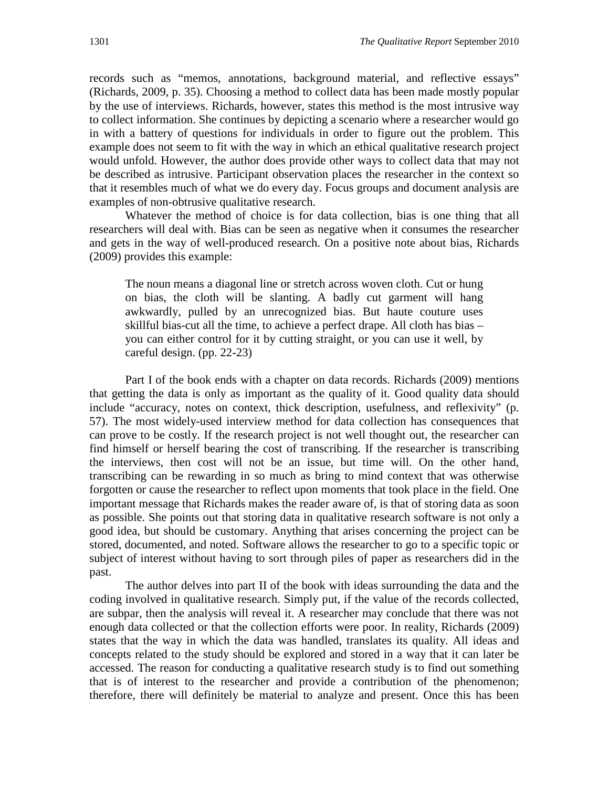records such as "memos, annotations, background material, and reflective essays" (Richards, 2009, p. 35). Choosing a method to collect data has been made mostly popular by the use of interviews. Richards, however, states this method is the most intrusive way to collect information. She continues by depicting a scenario where a researcher would go in with a battery of questions for individuals in order to figure out the problem. This example does not seem to fit with the way in which an ethical qualitative research project would unfold. However, the author does provide other ways to collect data that may not be described as intrusive. Participant observation places the researcher in the context so that it resembles much of what we do every day. Focus groups and document analysis are examples of non-obtrusive qualitative research.

Whatever the method of choice is for data collection, bias is one thing that all researchers will deal with. Bias can be seen as negative when it consumes the researcher and gets in the way of well-produced research. On a positive note about bias, Richards (2009) provides this example:

The noun means a diagonal line or stretch across woven cloth. Cut or hung on bias, the cloth will be slanting. A badly cut garment will hang awkwardly, pulled by an unrecognized bias. But haute couture uses skillful bias-cut all the time, to achieve a perfect drape. All cloth has bias – you can either control for it by cutting straight, or you can use it well, by careful design. (pp. 22-23)

Part I of the book ends with a chapter on data records. Richards (2009) mentions that getting the data is only as important as the quality of it. Good quality data should include "accuracy, notes on context, thick description, usefulness, and reflexivity" (p. 57). The most widely-used interview method for data collection has consequences that can prove to be costly. If the research project is not well thought out, the researcher can find himself or herself bearing the cost of transcribing. If the researcher is transcribing the interviews, then cost will not be an issue, but time will. On the other hand, transcribing can be rewarding in so much as bring to mind context that was otherwise forgotten or cause the researcher to reflect upon moments that took place in the field. One important message that Richards makes the reader aware of, is that of storing data as soon as possible. She points out that storing data in qualitative research software is not only a good idea, but should be customary. Anything that arises concerning the project can be stored, documented, and noted. Software allows the researcher to go to a specific topic or subject of interest without having to sort through piles of paper as researchers did in the past.

The author delves into part II of the book with ideas surrounding the data and the coding involved in qualitative research. Simply put, if the value of the records collected, are subpar, then the analysis will reveal it. A researcher may conclude that there was not enough data collected or that the collection efforts were poor. In reality, Richards (2009) states that the way in which the data was handled, translates its quality. All ideas and concepts related to the study should be explored and stored in a way that it can later be accessed. The reason for conducting a qualitative research study is to find out something that is of interest to the researcher and provide a contribution of the phenomenon; therefore, there will definitely be material to analyze and present. Once this has been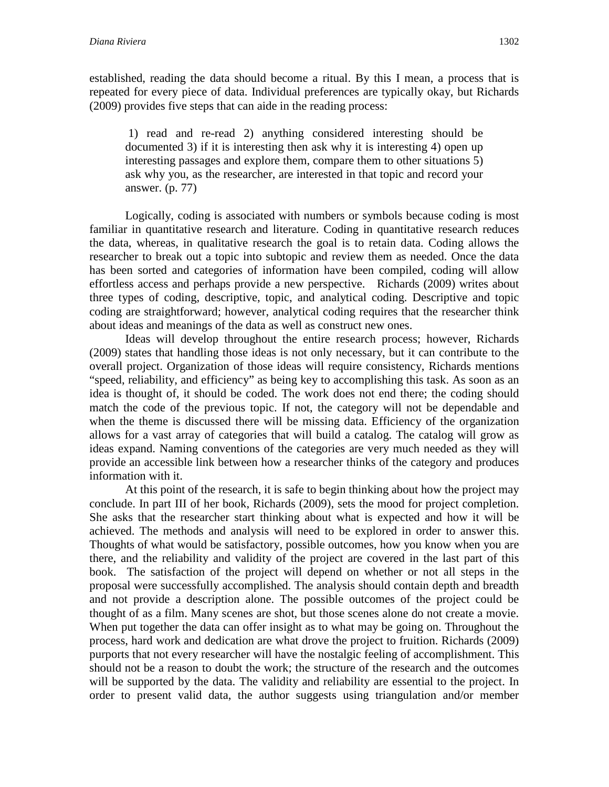established, reading the data should become a ritual. By this I mean, a process that is repeated for every piece of data. Individual preferences are typically okay, but Richards (2009) provides five steps that can aide in the reading process:

1) read and re-read 2) anything considered interesting should be documented 3) if it is interesting then ask why it is interesting 4) open up interesting passages and explore them, compare them to other situations 5) ask why you, as the researcher, are interested in that topic and record your answer. (p. 77)

Logically, coding is associated with numbers or symbols because coding is most familiar in quantitative research and literature. Coding in quantitative research reduces the data, whereas, in qualitative research the goal is to retain data. Coding allows the researcher to break out a topic into subtopic and review them as needed. Once the data has been sorted and categories of information have been compiled, coding will allow effortless access and perhaps provide a new perspective. Richards (2009) writes about three types of coding, descriptive, topic, and analytical coding. Descriptive and topic coding are straightforward; however, analytical coding requires that the researcher think about ideas and meanings of the data as well as construct new ones.

Ideas will develop throughout the entire research process; however, Richards (2009) states that handling those ideas is not only necessary, but it can contribute to the overall project. Organization of those ideas will require consistency, Richards mentions "speed, reliability, and efficiency" as being key to accomplishing this task. As soon as an idea is thought of, it should be coded. The work does not end there; the coding should match the code of the previous topic. If not, the category will not be dependable and when the theme is discussed there will be missing data. Efficiency of the organization allows for a vast array of categories that will build a catalog. The catalog will grow as ideas expand. Naming conventions of the categories are very much needed as they will provide an accessible link between how a researcher thinks of the category and produces information with it.

At this point of the research, it is safe to begin thinking about how the project may conclude. In part III of her book, Richards (2009), sets the mood for project completion. She asks that the researcher start thinking about what is expected and how it will be achieved. The methods and analysis will need to be explored in order to answer this. Thoughts of what would be satisfactory, possible outcomes, how you know when you are there, and the reliability and validity of the project are covered in the last part of this book. The satisfaction of the project will depend on whether or not all steps in the proposal were successfully accomplished. The analysis should contain depth and breadth and not provide a description alone. The possible outcomes of the project could be thought of as a film. Many scenes are shot, but those scenes alone do not create a movie. When put together the data can offer insight as to what may be going on. Throughout the process, hard work and dedication are what drove the project to fruition. Richards (2009) purports that not every researcher will have the nostalgic feeling of accomplishment. This should not be a reason to doubt the work; the structure of the research and the outcomes will be supported by the data. The validity and reliability are essential to the project. In order to present valid data, the author suggests using triangulation and/or member